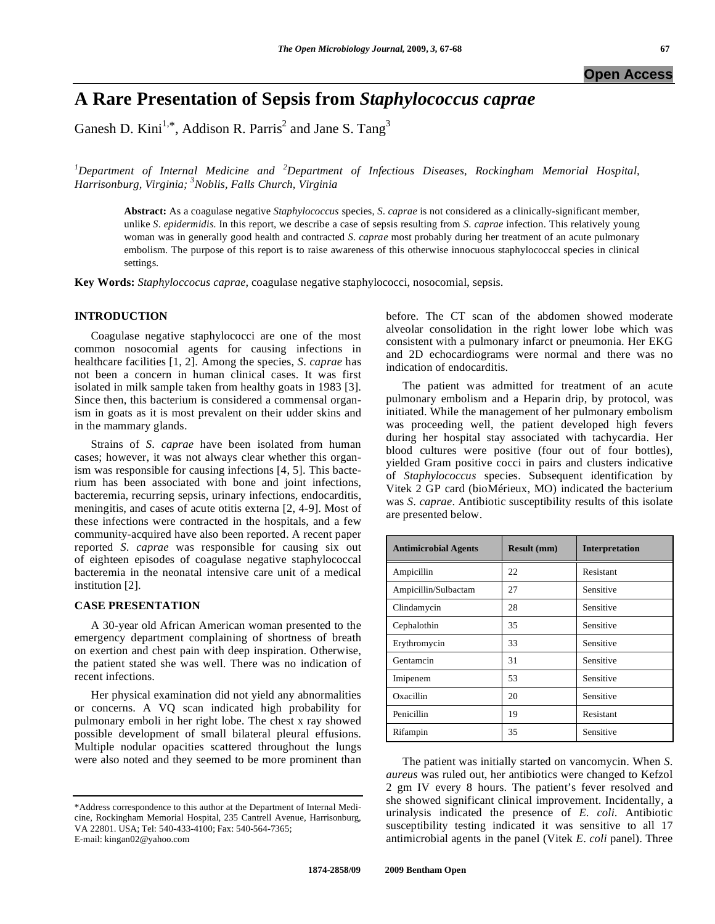# **A Rare Presentation of Sepsis from** *Staphylococcus caprae*

Ganesh D. Kini<sup>1,\*</sup>, Addison R. Parris<sup>2</sup> and Jane S. Tang<sup>3</sup>

*1 Department of Internal Medicine and <sup>2</sup> Department of Infectious Diseases, Rockingham Memorial Hospital, Harrisonburg, Virginia; 3 Noblis, Falls Church, Virginia* 

**Abstract:** As a coagulase negative *Staphylococcus* species, *S*. *caprae* is not considered as a clinically-significant member, unlike *S*. *epidermidis*. In this report, we describe a case of sepsis resulting from *S*. *caprae* infection. This relatively young woman was in generally good health and contracted *S*. *caprae* most probably during her treatment of an acute pulmonary embolism. The purpose of this report is to raise awareness of this otherwise innocuous staphylococcal species in clinical settings.

**Key Words:** *Staphyloccocus caprae,* coagulase negative staphylococci, nosocomial, sepsis.

# **INTRODUCTION**

 Coagulase negative staphylococci are one of the most common nosocomial agents for causing infections in healthcare facilities [1, 2]. Among the species, *S*. *caprae* has not been a concern in human clinical cases. It was first isolated in milk sample taken from healthy goats in 1983 [3]. Since then, this bacterium is considered a commensal organism in goats as it is most prevalent on their udder skins and in the mammary glands.

 Strains of *S*. *caprae* have been isolated from human cases; however, it was not always clear whether this organism was responsible for causing infections [4, 5]. This bacterium has been associated with bone and joint infections, bacteremia, recurring sepsis, urinary infections, endocarditis, meningitis, and cases of acute otitis externa [2, 4-9]. Most of these infections were contracted in the hospitals, and a few community-acquired have also been reported. A recent paper reported *S*. *caprae* was responsible for causing six out of eighteen episodes of coagulase negative staphylococcal bacteremia in the neonatal intensive care unit of a medical institution [2].

### **CASE PRESENTATION**

 A 30-year old African American woman presented to the emergency department complaining of shortness of breath on exertion and chest pain with deep inspiration. Otherwise, the patient stated she was well. There was no indication of recent infections.

 Her physical examination did not yield any abnormalities or concerns. A VQ scan indicated high probability for pulmonary emboli in her right lobe. The chest x ray showed possible development of small bilateral pleural effusions. Multiple nodular opacities scattered throughout the lungs were also noted and they seemed to be more prominent than

before. The CT scan of the abdomen showed moderate alveolar consolidation in the right lower lobe which was consistent with a pulmonary infarct or pneumonia. Her EKG and 2D echocardiograms were normal and there was no indication of endocarditis.

 The patient was admitted for treatment of an acute pulmonary embolism and a Heparin drip, by protocol, was initiated. While the management of her pulmonary embolism was proceeding well, the patient developed high fevers during her hospital stay associated with tachycardia. Her blood cultures were positive (four out of four bottles), yielded Gram positive cocci in pairs and clusters indicative of *Staphylococcus* species. Subsequent identification by Vitek 2 GP card (bioMérieux, MO) indicated the bacterium was *S*. *caprae*. Antibiotic susceptibility results of this isolate are presented below.

| <b>Antimicrobial Agents</b> | <b>Result (mm)</b> | <b>Interpretation</b> |
|-----------------------------|--------------------|-----------------------|
| Ampicillin                  | 22                 | Resistant             |
| Ampicillin/Sulbactam        | 27                 | Sensitive             |
| Clindamycin                 | 28                 | Sensitive             |
| Cephalothin                 | 35                 | Sensitive             |
| Erythromycin                | 33                 | Sensitive             |
| Gentamcin                   | 31                 | Sensitive             |
| Imipenem                    | 53                 | Sensitive             |
| Oxacillin                   | 20                 | Sensitive             |
| Penicillin                  | 19                 | Resistant             |
| Rifampin                    | 35                 | Sensitive             |

 The patient was initially started on vancomycin. When *S*. *aureus* was ruled out, her antibiotics were changed to Kefzol 2 gm IV every 8 hours. The patient's fever resolved and she showed significant clinical improvement. Incidentally, a urinalysis indicated the presence of *E*. *coli*. Antibiotic susceptibility testing indicated it was sensitive to all 17 antimicrobial agents in the panel (Vitek *E*. *coli* panel). Three

<sup>\*</sup>Address correspondence to this author at the Department of Internal Medicine, Rockingham Memorial Hospital, 235 Cantrell Avenue, Harrisonburg, VA 22801. USA; Tel: 540-433-4100; Fax: 540-564-7365; E-mail: kingan02@yahoo.com